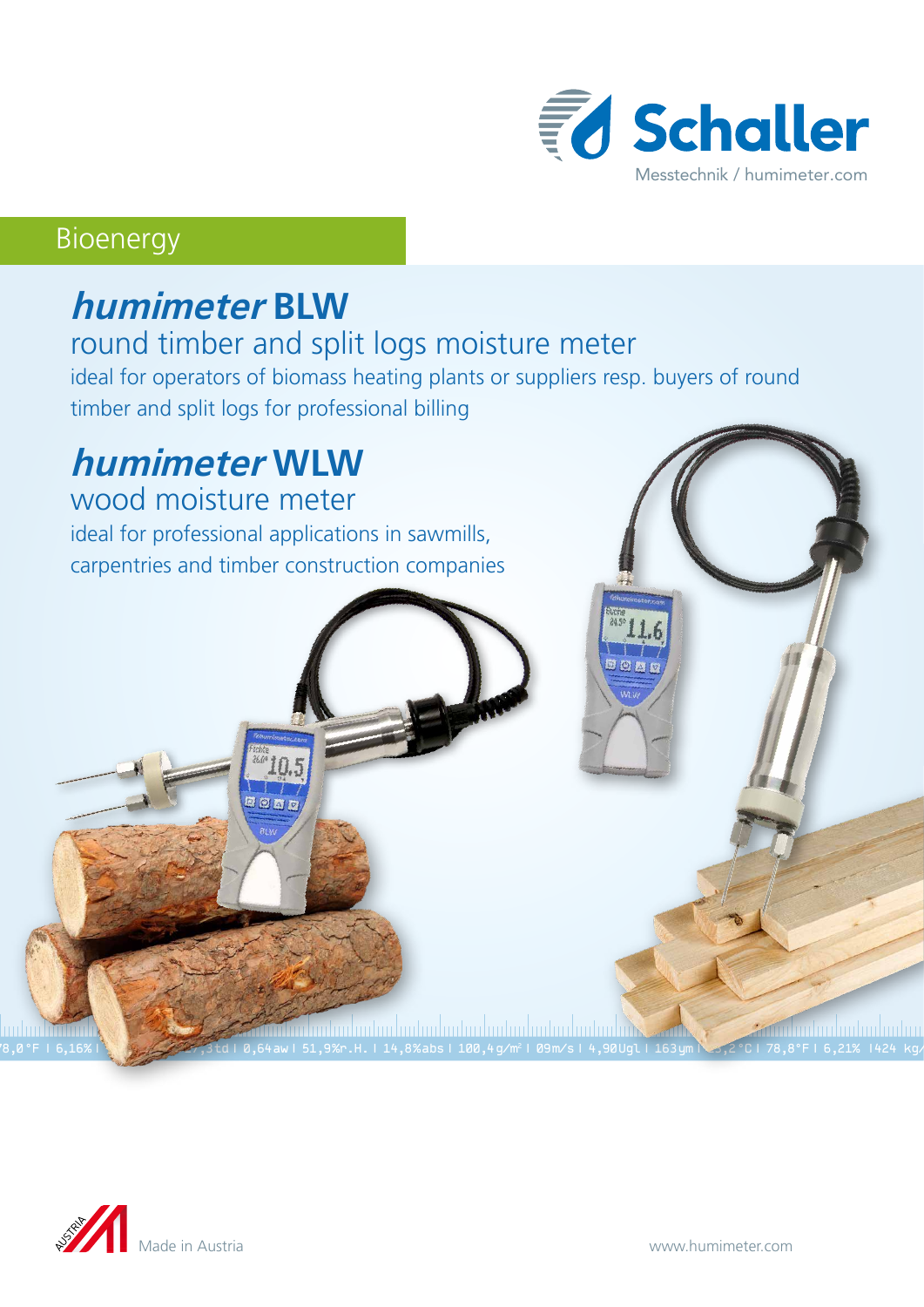

### Bioenergy

# **humimeter BLW**

#### round timber and split logs moisture meter

ideal for operators of biomass heating plants or suppliers resp. buyers of round timber and split logs for professional billing

78,0 °F | 6,16%| 456 kg/m3 | -27,3 td| 0,64 aw| 51,9 %r.H.| 14,8 % abs| 100,4 g/m2 | 09 m/s| 4,90 Ugl| 163 ym| 23,2 °C| 78,8°F| 6,21% |424 kg/m

# **humimeter WLW**

wood moisture meter ideal for professional applications in sawmills, carpentries and timber construction companies



<u>mdan hiifin</u>

<u> 27 mm mm mm mm mm m</u>